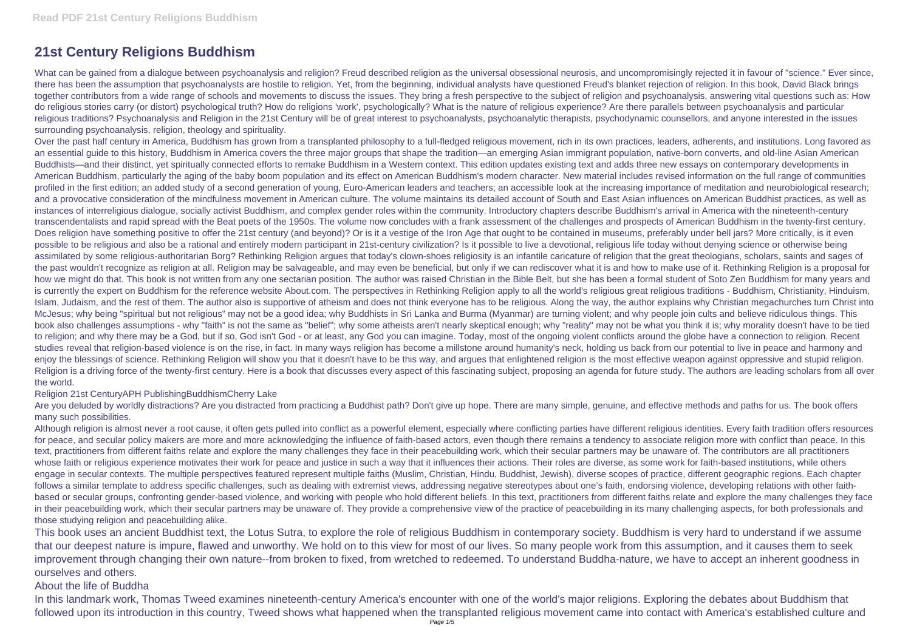# **21st Century Religions Buddhism**

What can be gained from a dialogue between psychoanalysis and religion? Freud described religion as the universal obsessional neurosis, and uncompromisingly rejected it in favour of "science." Ever since, there has been the assumption that psychoanalysts are hostile to religion. Yet, from the beginning, individual analysts have questioned Freud's blanket rejection of religion. In this book, David Black brings together contributors from a wide range of schools and movements to discuss the issues. They bring a fresh perspective to the subject of religion and psychoanalysis, answering vital questions such as: How do religious stories carry (or distort) psychological truth? How do religions 'work', psychologically? What is the nature of religious experience? Are there parallels between psychoanalysis and particular religious traditions? Psychoanalysis and Religion in the 21st Century will be of great interest to psychoanalysts, psychoanalytic therapists, psychodynamic counsellors, and anyone interested in the issues surrounding psychoanalysis, religion, theology and spirituality.

Over the past half century in America, Buddhism has grown from a transplanted philosophy to a full-fledged religious movement, rich in its own practices, leaders, adherents, and institutions. Long favored as an essential guide to this history, Buddhism in America covers the three major groups that shape the tradition—an emerging Asian immigrant population, native-born converts, and old-line Asian American Buddhists—and their distinct, yet spiritually connected efforts to remake Buddhism in a Western context. This edition updates existing text and adds three new essays on contemporary developments in American Buddhism, particularly the aging of the baby boom population and its effect on American Buddhism's modern character. New material includes revised information on the full range of communities profiled in the first edition; an added study of a second generation of young, Euro-American leaders and teachers; an accessible look at the increasing importance of meditation and neurobiological research; and a provocative consideration of the mindfulness movement in American culture. The volume maintains its detailed account of South and East Asian influences on American Buddhist practices, as well as instances of interreligious dialogue, socially activist Buddhism, and complex gender roles within the community. Introductory chapters describe Buddhism's arrival in America with the nineteenth-century transcendentalists and rapid spread with the Beat poets of the 1950s. The volume now concludes with a frank assessment of the challenges and prospects of American Buddhism in the twenty-first century. Does religion have something positive to offer the 21st century (and beyond)? Or is it a vestige of the Iron Age that ought to be contained in museums, preferably under bell jars? More critically, is it even possible to be religious and also be a rational and entirely modern participant in 21st-century civilization? Is it possible to live a devotional, religious life today without denying science or otherwise being assimilated by some religious-authoritarian Borg? Rethinking Religion argues that today's clown-shoes religiosity is an infantile caricature of religion that the great theologians, scholars, saints and sages of the past wouldn't recognize as religion at all. Religion may be salvageable, and may even be beneficial, but only if we can rediscover what it is and how to make use of it. Rethinking Religion is a proposal for how we might do that. This book is not written from any one sectarian position. The author was raised Christian in the Bible Belt, but she has been a formal student of Soto Zen Buddhism for many years and is currently the expert on Buddhism for the reference website About.com. The perspectives in Rethinking Religion apply to all the world's religious great religious traditions - Buddhism, Christianity, Hinduism, Islam, Judaism, and the rest of them. The author also is supportive of atheism and does not think everyone has to be religious. Along the way, the author explains why Christian megachurches turn Christ into McJesus; why being "spiritual but not religious" may not be a good idea; why Buddhists in Sri Lanka and Burma (Myanmar) are turning violent; and why people join cults and believe ridiculous things. This book also challenges assumptions - why "faith" is not the same as "belief"; why some atheists aren't nearly skeptical enough; why "reality" may not be what you think it is; why morality doesn't have to be tied to religion; and why there may be a God, but if so, God isn't God - or at least, any God you can imagine. Today, most of the ongoing violent conflicts around the globe have a connection to religion. Recent studies reveal that religion-based violence is on the rise, in fact. In many ways religion has become a millstone around humanity's neck, holding us back from our potential to live in peace and harmony and enjoy the blessings of science. Rethinking Religion will show you that it doesn't have to be this way, and argues that enlightened religion is the most effective weapon against oppressive and stupid religion. Religion is a driving force of the twenty-first century. Here is a book that discusses every aspect of this fascinating subject, proposing an agenda for future study. The authors are leading scholars from all over the world.

Are you deluded by worldly distractions? Are you distracted from practicing a Buddhist path? Don't give up hope. There are many simple, genuine, and effective methods and paths for us. The book offers many such possibilities.

#### Religion 21st CenturyAPH PublishingBuddhismCherry Lake

Although religion is almost never a root cause, it often gets pulled into conflict as a powerful element, especially where conflicting parties have different religious identities. Every faith tradition offers resources for peace, and secular policy makers are more and more acknowledging the influence of faith-based actors, even though there remains a tendency to associate religion more with conflict than peace. In this text, practitioners from different faiths relate and explore the many challenges they face in their peacebuilding work, which their secular partners may be unaware of. The contributors are all practitioners whose faith or religious experience motivates their work for peace and justice in such a way that it influences their actions. Their roles are diverse, as some work for faith-based institutions, while others engage in secular contexts. The multiple perspectives featured represent multiple faiths (Muslim, Christian, Hindu, Buddhist, Jewish), diverse scopes of practice, different geographic regions. Each chapter follows a similar template to address specific challenges, such as dealing with extremist views, addressing negative stereotypes about one's faith, endorsing violence, developing relations with other faithbased or secular groups, confronting gender-based violence, and working with people who hold different beliefs. In this text, practitioners from different faiths relate and explore the many challenges they face in their peacebuilding work, which their secular partners may be unaware of. They provide a comprehensive view of the practice of peacebuilding in its many challenging aspects, for both professionals and those studying religion and peacebuilding alike.

This book uses an ancient Buddhist text, the Lotus Sutra, to explore the role of religious Buddhism in contemporary society. Buddhism is very hard to understand if we assume that our deepest nature is impure, flawed and unworthy. We hold on to this view for most of our lives. So many people work from this assumption, and it causes them to seek improvement through changing their own nature--from broken to fixed, from wretched to redeemed. To understand Buddha-nature, we have to accept an inherent goodness in ourselves and others.

## About the life of Buddha

In this landmark work, Thomas Tweed examines nineteenth-century America's encounter with one of the world's major religions. Exploring the debates about Buddhism that followed upon its introduction in this country, Tweed shows what happened when the transplanted religious movement came into contact with America's established culture and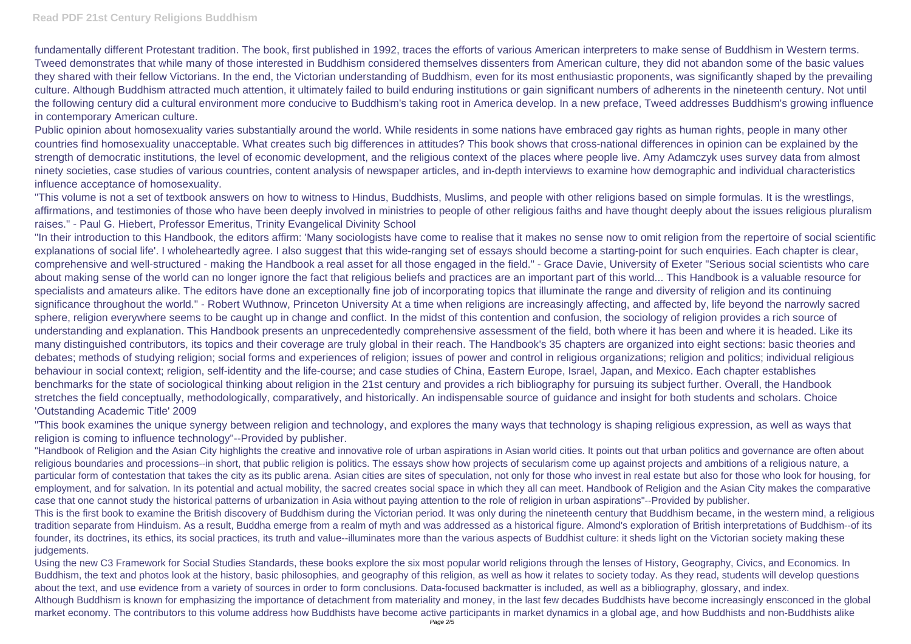### **Read PDF 21st Century Religions Buddhism**

fundamentally different Protestant tradition. The book, first published in 1992, traces the efforts of various American interpreters to make sense of Buddhism in Western terms. Tweed demonstrates that while many of those interested in Buddhism considered themselves dissenters from American culture, they did not abandon some of the basic values they shared with their fellow Victorians. In the end, the Victorian understanding of Buddhism, even for its most enthusiastic proponents, was significantly shaped by the prevailing culture. Although Buddhism attracted much attention, it ultimately failed to build enduring institutions or gain significant numbers of adherents in the nineteenth century. Not until the following century did a cultural environment more conducive to Buddhism's taking root in America develop. In a new preface, Tweed addresses Buddhism's growing influence in contemporary American culture.

Public opinion about homosexuality varies substantially around the world. While residents in some nations have embraced gay rights as human rights, people in many other countries find homosexuality unacceptable. What creates such big differences in attitudes? This book shows that cross-national differences in opinion can be explained by the strength of democratic institutions, the level of economic development, and the religious context of the places where people live. Amy Adamczyk uses survey data from almost ninety societies, case studies of various countries, content analysis of newspaper articles, and in-depth interviews to examine how demographic and individual characteristics influence acceptance of homosexuality.

"This volume is not a set of textbook answers on how to witness to Hindus, Buddhists, Muslims, and people with other religions based on simple formulas. It is the wrestlings, affirmations, and testimonies of those who have been deeply involved in ministries to people of other religious faiths and have thought deeply about the issues religious pluralism raises." - Paul G. Hiebert, Professor Emeritus, Trinity Evangelical Divinity School

"Handbook of Religion and the Asian City highlights the creative and innovative role of urban aspirations in Asian world cities. It points out that urban politics and governance are often about religious boundaries and processions--in short, that public religion is politics. The essays show how projects of secularism come up against projects and ambitions of a religious nature, a particular form of contestation that takes the city as its public arena. Asian cities are sites of speculation, not only for those who invest in real estate but also for those who look for housing, for employment, and for salvation. In its potential and actual mobility, the sacred creates social space in which they all can meet. Handbook of Religion and the Asian City makes the comparative case that one cannot study the historical patterns of urbanization in Asia without paying attention to the role of religion in urban aspirations"--Provided by publisher. This is the first book to examine the British discovery of Buddhism during the Victorian period. It was only during the nineteenth century that Buddhism became, in the western mind, a religious tradition separate from Hinduism. As a result, Buddha emerge from a realm of myth and was addressed as a historical figure. Almond's exploration of British interpretations of Buddhism--of its founder, its doctrines, its ethics, its social practices, its truth and value--illuminates more than the various aspects of Buddhist culture: it sheds light on the Victorian society making these judgements.

"In their introduction to this Handbook, the editors affirm: 'Many sociologists have come to realise that it makes no sense now to omit religion from the repertoire of social scientific explanations of social life'. I wholeheartedly agree. I also suggest that this wide-ranging set of essays should become a starting-point for such enquiries. Each chapter is clear, comprehensive and well-structured - making the Handbook a real asset for all those engaged in the field." - Grace Davie, University of Exeter "Serious social scientists who care about making sense of the world can no longer ignore the fact that religious beliefs and practices are an important part of this world... This Handbook is a valuable resource for specialists and amateurs alike. The editors have done an exceptionally fine job of incorporating topics that illuminate the range and diversity of religion and its continuing significance throughout the world." - Robert Wuthnow, Princeton University At a time when religions are increasingly affecting, and affected by, life beyond the narrowly sacred sphere, religion everywhere seems to be caught up in change and conflict. In the midst of this contention and confusion, the sociology of religion provides a rich source of understanding and explanation. This Handbook presents an unprecedentedly comprehensive assessment of the field, both where it has been and where it is headed. Like its many distinguished contributors, its topics and their coverage are truly global in their reach. The Handbook's 35 chapters are organized into eight sections: basic theories and debates; methods of studying religion; social forms and experiences of religion; issues of power and control in religious organizations; religion and politics; individual religious behaviour in social context; religion, self-identity and the life-course; and case studies of China, Eastern Europe, Israel, Japan, and Mexico. Each chapter establishes benchmarks for the state of sociological thinking about religion in the 21st century and provides a rich bibliography for pursuing its subject further. Overall, the Handbook stretches the field conceptually, methodologically, comparatively, and historically. An indispensable source of guidance and insight for both students and scholars. Choice 'Outstanding Academic Title' 2009

"This book examines the unique synergy between religion and technology, and explores the many ways that technology is shaping religious expression, as well as ways that religion is coming to influence technology"--Provided by publisher.

Using the new C3 Framework for Social Studies Standards, these books explore the six most popular world religions through the lenses of History, Geography, Civics, and Economics. In Buddhism, the text and photos look at the history, basic philosophies, and geography of this religion, as well as how it relates to society today. As they read, students will develop questions about the text, and use evidence from a variety of sources in order to form conclusions. Data-focused backmatter is included, as well as a bibliography, glossary, and index. Although Buddhism is known for emphasizing the importance of detachment from materiality and money, in the last few decades Buddhists have become increasingly ensconced in the global market economy. The contributors to this volume address how Buddhists have become active participants in market dynamics in a global age, and how Buddhists and non-Buddhists alike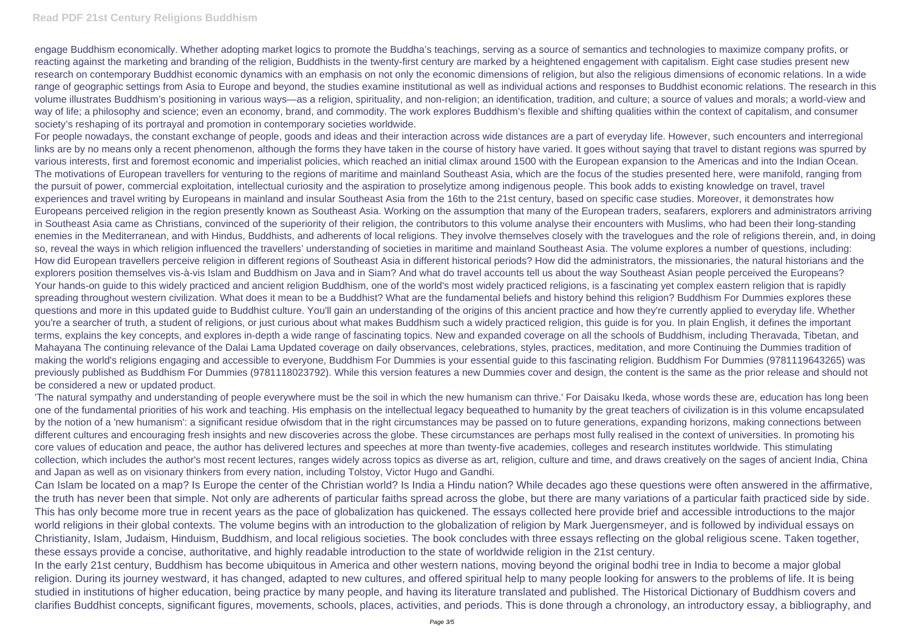engage Buddhism economically. Whether adopting market logics to promote the Buddha's teachings, serving as a source of semantics and technologies to maximize company profits, or reacting against the marketing and branding of the religion, Buddhists in the twenty-first century are marked by a heightened engagement with capitalism. Eight case studies present new research on contemporary Buddhist economic dynamics with an emphasis on not only the economic dimensions of religion, but also the religious dimensions of economic relations. In a wide range of geographic settings from Asia to Europe and beyond, the studies examine institutional as well as individual actions and responses to Buddhist economic relations. The research in this volume illustrates Buddhism's positioning in various ways—as a religion, spirituality, and non-religion; an identification, tradition, and culture; a source of values and morals; a world-view and way of life; a philosophy and science; even an economy, brand, and commodity. The work explores Buddhism's flexible and shifting qualities within the context of capitalism, and consumer society's reshaping of its portrayal and promotion in contemporary societies worldwide.

For people nowadays, the constant exchange of people, goods and ideas and their interaction across wide distances are a part of everyday life. However, such encounters and interregional links are by no means only a recent phenomenon, although the forms they have taken in the course of history have varied. It goes without saying that travel to distant regions was spurred by various interests, first and foremost economic and imperialist policies, which reached an initial climax around 1500 with the European expansion to the Americas and into the Indian Ocean. The motivations of European travellers for venturing to the regions of maritime and mainland Southeast Asia, which are the focus of the studies presented here, were manifold, ranging from the pursuit of power, commercial exploitation, intellectual curiosity and the aspiration to proselytize among indigenous people. This book adds to existing knowledge on travel, travel experiences and travel writing by Europeans in mainland and insular Southeast Asia from the 16th to the 21st century, based on specific case studies. Moreover, it demonstrates how Europeans perceived religion in the region presently known as Southeast Asia. Working on the assumption that many of the European traders, seafarers, explorers and administrators arriving in Southeast Asia came as Christians, convinced of the superiority of their religion, the contributors to this volume analyse their encounters with Muslims, who had been their long-standing enemies in the Mediterranean, and with Hindus, Buddhists, and adherents of local religions. They involve themselves closely with the travelogues and the role of religions therein, and, in doing so, reveal the ways in which religion influenced the travellers' understanding of societies in maritime and mainland Southeast Asia. The volume explores a number of questions, including: How did European travellers perceive religion in different regions of Southeast Asia in different historical periods? How did the administrators, the missionaries, the natural historians and the explorers position themselves vis-à-vis Islam and Buddhism on Java and in Siam? And what do travel accounts tell us about the way Southeast Asian people perceived the Europeans? Your hands-on quide to this widely practiced and ancient religion Buddhism, one of the world's most widely practiced religions, is a fascinating yet complex eastern religion that is rapidly spreading throughout western civilization. What does it mean to be a Buddhist? What are the fundamental beliefs and history behind this religion? Buddhism For Dummies explores these questions and more in this updated guide to Buddhist culture. You'll gain an understanding of the origins of this ancient practice and how they're currently applied to everyday life. Whether you're a searcher of truth, a student of religions, or just curious about what makes Buddhism such a widely practiced religion, this guide is for you. In plain English, it defines the important terms, explains the key concepts, and explores in-depth a wide range of fascinating topics. New and expanded coverage on all the schools of Buddhism, including Theravada, Tibetan, and Mahayana The continuing relevance of the Dalai Lama Updated coverage on daily observances, celebrations, styles, practices, meditation, and more Continuing the Dummies tradition of making the world's religions engaging and accessible to everyone, Buddhism For Dummies is your essential guide to this fascinating religion. Buddhism For Dummies (9781119643265) was previously published as Buddhism For Dummies (9781118023792). While this version features a new Dummies cover and design, the content is the same as the prior release and should not be considered a new or updated product.

'The natural sympathy and understanding of people everywhere must be the soil in which the new humanism can thrive.' For Daisaku Ikeda, whose words these are, education has long been one of the fundamental priorities of his work and teaching. His emphasis on the intellectual legacy bequeathed to humanity by the great teachers of civilization is in this volume encapsulated by the notion of a 'new humanism': a significant residue ofwisdom that in the right circumstances may be passed on to future generations, expanding horizons, making connections between different cultures and encouraging fresh insights and new discoveries across the globe. These circumstances are perhaps most fully realised in the context of universities. In promoting his core values of education and peace, the author has delivered lectures and speeches at more than twenty-five academies, colleges and research institutes worldwide. This stimulating collection, which includes the author's most recent lectures, ranges widely across topics as diverse as art, religion, culture and time, and draws creatively on the sages of ancient India, China and Japan as well as on visionary thinkers from every nation, including Tolstoy, Victor Hugo and Gandhi.

Can Islam be located on a map? Is Europe the center of the Christian world? Is India a Hindu nation? While decades ago these questions were often answered in the affirmative, the truth has never been that simple. Not only are adherents of particular faiths spread across the globe, but there are many variations of a particular faith practiced side by side. This has only become more true in recent years as the pace of globalization has quickened. The essays collected here provide brief and accessible introductions to the major world religions in their global contexts. The volume begins with an introduction to the globalization of religion by Mark Juergensmeyer, and is followed by individual essays on Christianity, Islam, Judaism, Hinduism, Buddhism, and local religious societies. The book concludes with three essays reflecting on the global religious scene. Taken together, these essays provide a concise, authoritative, and highly readable introduction to the state of worldwide religion in the 21st century.

In the early 21st century, Buddhism has become ubiquitous in America and other western nations, moving beyond the original bodhi tree in India to become a major global religion. During its journey westward, it has changed, adapted to new cultures, and offered spiritual help to many people looking for answers to the problems of life. It is being studied in institutions of higher education, being practice by many people, and having its literature translated and published. The Historical Dictionary of Buddhism covers and clarifies Buddhist concepts, significant figures, movements, schools, places, activities, and periods. This is done through a chronology, an introductory essay, a bibliography, and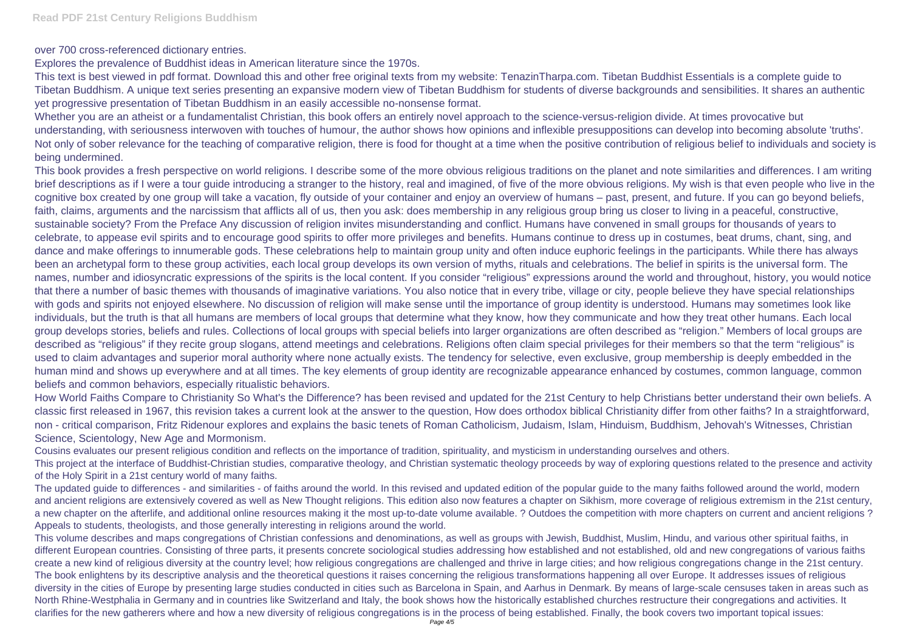over 700 cross-referenced dictionary entries.

Explores the prevalence of Buddhist ideas in American literature since the 1970s.

This text is best viewed in pdf format. Download this and other free original texts from my website: TenazinTharpa.com. Tibetan Buddhist Essentials is a complete guide to Tibetan Buddhism. A unique text series presenting an expansive modern view of Tibetan Buddhism for students of diverse backgrounds and sensibilities. It shares an authentic yet progressive presentation of Tibetan Buddhism in an easily accessible no-nonsense format.

Whether you are an atheist or a fundamentalist Christian, this book offers an entirely novel approach to the science-versus-religion divide. At times provocative but understanding, with seriousness interwoven with touches of humour, the author shows how opinions and inflexible presuppositions can develop into becoming absolute 'truths'. Not only of sober relevance for the teaching of comparative religion, there is food for thought at a time when the positive contribution of religious belief to individuals and society is being undermined.

This book provides a fresh perspective on world religions. I describe some of the more obvious religious traditions on the planet and note similarities and differences. I am writing brief descriptions as if I were a tour guide introducing a stranger to the history, real and imagined, of five of the more obvious religions. My wish is that even people who live in the cognitive box created by one group will take a vacation, fly outside of your container and enjoy an overview of humans – past, present, and future. If you can go beyond beliefs, faith, claims, arguments and the narcissism that afflicts all of us, then you ask: does membership in any religious group bring us closer to living in a peaceful, constructive, sustainable society? From the Preface Any discussion of religion invites misunderstanding and conflict. Humans have convened in small groups for thousands of years to celebrate, to appease evil spirits and to encourage good spirits to offer more privileges and benefits. Humans continue to dress up in costumes, beat drums, chant, sing, and dance and make offerings to innumerable gods. These celebrations help to maintain group unity and often induce euphoric feelings in the participants. While there has always been an archetypal form to these group activities, each local group develops its own version of myths, rituals and celebrations. The belief in spirits is the universal form. The names, number and idiosyncratic expressions of the spirits is the local content. If you consider "religious" expressions around the world and throughout, history, you would notice that there a number of basic themes with thousands of imaginative variations. You also notice that in every tribe, village or city, people believe they have special relationships with gods and spirits not enjoyed elsewhere. No discussion of religion will make sense until the importance of group identity is understood. Humans may sometimes look like individuals, but the truth is that all humans are members of local groups that determine what they know, how they communicate and how they treat other humans. Each local group develops stories, beliefs and rules. Collections of local groups with special beliefs into larger organizations are often described as "religion." Members of local groups are described as "religious" if they recite group slogans, attend meetings and celebrations. Religions often claim special privileges for their members so that the term "religious" is used to claim advantages and superior moral authority where none actually exists. The tendency for selective, even exclusive, group membership is deeply embedded in the human mind and shows up everywhere and at all times. The key elements of group identity are recognizable appearance enhanced by costumes, common language, common beliefs and common behaviors, especially ritualistic behaviors.

How World Faiths Compare to Christianity So What's the Difference? has been revised and updated for the 21st Century to help Christians better understand their own beliefs. A classic first released in 1967, this revision takes a current look at the answer to the question, How does orthodox biblical Christianity differ from other faiths? In a straightforward, non - critical comparison, Fritz Ridenour explores and explains the basic tenets of Roman Catholicism, Judaism, Islam, Hinduism, Buddhism, Jehovah's Witnesses, Christian Science, Scientology, New Age and Mormonism.

Cousins evaluates our present religious condition and reflects on the importance of tradition, spirituality, and mysticism in understanding ourselves and others. This project at the interface of Buddhist-Christian studies, comparative theology, and Christian systematic theology proceeds by way of exploring questions related to the presence and activity of the Holy Spirit in a 21st century world of many faiths.

The updated guide to differences - and similarities - of faiths around the world. In this revised and updated edition of the popular guide to the many faiths followed around the world, modern and ancient religions are extensively covered as well as New Thought religions. This edition also now features a chapter on Sikhism, more coverage of religious extremism in the 21st century, a new chapter on the afterlife, and additional online resources making it the most up-to-date volume available. ? Outdoes the competition with more chapters on current and ancient religions ? Appeals to students, theologists, and those generally interesting in religions around the world.

This volume describes and maps congregations of Christian confessions and denominations, as well as groups with Jewish, Buddhist, Muslim, Hindu, and various other spiritual faiths, in different European countries. Consisting of three parts, it presents concrete sociological studies addressing how established and not established, old and new congregations of various faiths create a new kind of religious diversity at the country level; how religious congregations are challenged and thrive in large cities; and how religious congregations change in the 21st century. The book enlightens by its descriptive analysis and the theoretical questions it raises concerning the religious transformations happening all over Europe. It addresses issues of religious diversity in the cities of Europe by presenting large studies conducted in cities such as Barcelona in Spain, and Aarhus in Denmark. By means of large-scale censuses taken in areas such as North Rhine-Westphalia in Germany and in countries like Switzerland and Italy, the book shows how the historically established churches restructure their congregations and activities. It clarifies for the new gatherers where and how a new diversity of religious congregations is in the process of being established. Finally, the book covers two important topical issues: